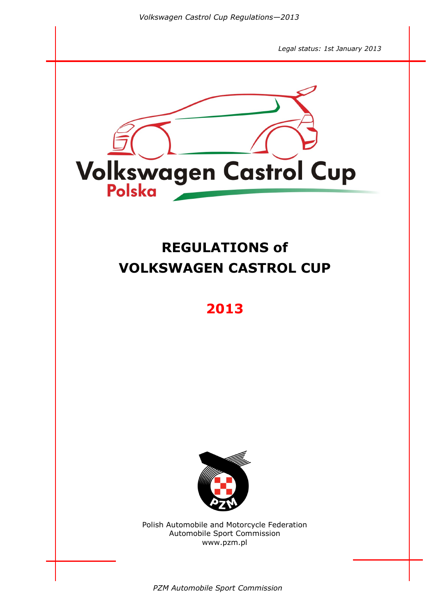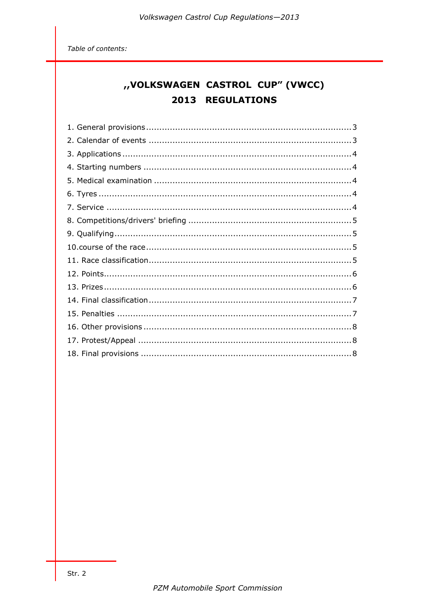Table of contents:

# "VOLKSWAGEN CASTROL CUP" (VWCC) 2013 REGULATIONS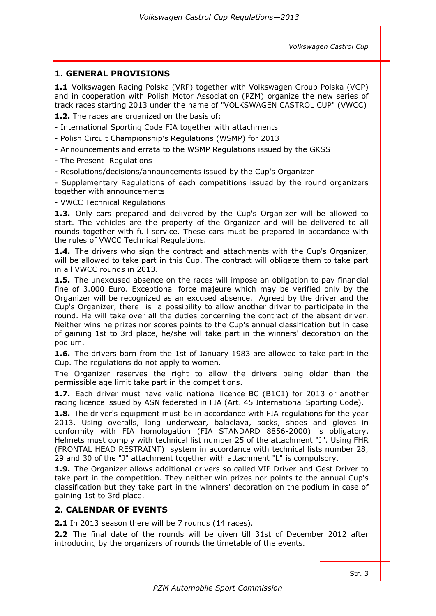# **1. GENERAL PROVISIONS**

**1.1** Volkswagen Racing Polska (VRP) together with Volkswagen Group Polska (VGP) and in cooperation with Polish Motor Association (PZM) organize the new series of track races starting 2013 under the name of "VOLKSWAGEN CASTROL CUP" (VWCC)

**1.2.** The races are organized on the basis of:

- International Sporting Code FIA together with attachments

- Polish Circuit Championship's Regulations (WSMP) for 2013
- Announcements and errata to the WSMP Regulations issued by the GKSS

- The Present Regulations

- Resolutions/decisions/announcements issued by the Cup's Organizer

- Supplementary Regulations of each competitions issued by the round organizers together with announcements

- VWCC Technical Regulations

**1.3.** Only cars prepared and delivered by the Cup's Organizer will be allowed to start. The vehicles are the property of the Organizer and will be delivered to all rounds together with full service. These cars must be prepared in accordance with the rules of VWCC Technical Regulations.

**1.4.** The drivers who sign the contract and attachments with the Cup's Organizer, will be allowed to take part in this Cup. The contract will obligate them to take part in all VWCC rounds in 2013.

**1.5.** The unexcused absence on the races will impose an obligation to pay financial fine of 3.000 Euro. Exceptional force majeure which may be verified only by the Organizer will be recognized as an excused absence. Agreed by the driver and the Cup's Organizer, there is a possibility to allow another driver to participate in the round. He will take over all the duties concerning the contract of the absent driver. Neither wins he prizes nor scores points to the Cup's annual classification but in case of gaining 1st to 3rd place, he/she will take part in the winners' decoration on the podium.

**1.6.** The drivers born from the 1st of January 1983 are allowed to take part in the Cup. The regulations do not apply to women.

The Organizer reserves the right to allow the drivers being older than the permissible age limit take part in the competitions.

**1.7.** Each driver must have valid national licence BC (B1C1) for 2013 or another racing licence issued by ASN federated in FIA (Art. 45 International Sporting Code).

**1.8.** The driver's equipment must be in accordance with FIA regulations for the year 2013. Using overalls, long underwear, balaclava, socks, shoes and gloves in conformity with FIA homologation (FIA STANDARD 8856-2000) is obligatory. Helmets must comply with technical list number 25 of the attachment "J". Using FHR (FRONTAL HEAD RESTRAINT) system in accordance with technical lists number 28, 29 and 30 of the "J" attachment together with attachment "L" is compulsory.

**1.9.** The Organizer allows additional drivers so called VIP Driver and Gest Driver to take part in the competition. They neither win prizes nor points to the annual Cup's classification but they take part in the winners' decoration on the podium in case of gaining 1st to 3rd place.

#### **2. CALENDAR OF EVENTS**

**2.1** In 2013 season there will be 7 rounds (14 races).

**2.2** The final date of the rounds will be given till 31st of December 2012 after introducing by the organizers of rounds the timetable of the events.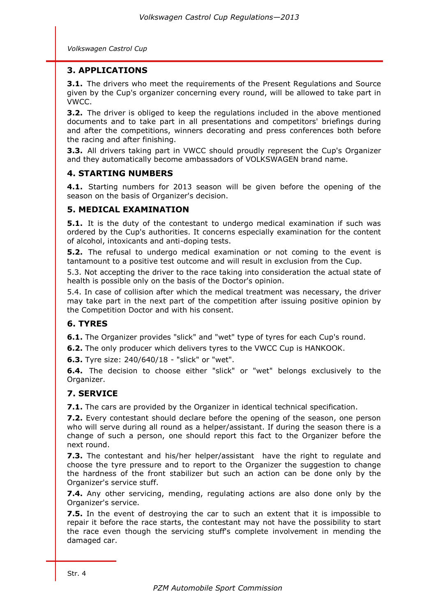*Volkswagen Castrol Cup*

#### **3. APPLICATIONS**

**3.1.** The drivers who meet the requirements of the Present Regulations and Source given by the Cup's organizer concerning every round, will be allowed to take part in VWCC.

**3.2.** The driver is obliged to keep the regulations included in the above mentioned documents and to take part in all presentations and competitors' briefings during and after the competitions, winners decorating and press conferences both before the racing and after finishing.

**3.3.** All drivers taking part in VWCC should proudly represent the Cup's Organizer and they automatically become ambassadors of VOLKSWAGEN brand name.

# **4. STARTING NUMBERS**

**4.1.** Starting numbers for 2013 season will be given before the opening of the season on the basis of Organizer's decision.

# **5. MEDICAL EXAMINATION**

**5.1.** It is the duty of the contestant to undergo medical examination if such was ordered by the Cup's authorities. It concerns especially examination for the content of alcohol, intoxicants and anti-doping tests.

**5.2.** The refusal to undergo medical examination or not coming to the event is tantamount to a positive test outcome and will result in exclusion from the Cup.

5.3. Not accepting the driver to the race taking into consideration the actual state of health is possible only on the basis of the Doctor's opinion.

5.4. In case of collision after which the medical treatment was necessary, the driver may take part in the next part of the competition after issuing positive opinion by the Competition Doctor and with his consent.

# **6. TYRES**

**6.1.** The Organizer provides "slick" and "wet" type of tyres for each Cup's round.

**6.2.** The only producer which delivers tyres to the VWCC Cup is HANKOOK.

**6.3.** Tyre size: 240/640/18 - "slick" or "wet".

**6.4.** The decision to choose either "slick" or "wet" belongs exclusively to the Organizer.

# **7. SERVICE**

**7.1.** The cars are provided by the Organizer in identical technical specification.

**7.2.** Every contestant should declare before the opening of the season, one person who will serve during all round as a helper/assistant. If during the season there is a change of such a person, one should report this fact to the Organizer before the next round.

**7.3.** The contestant and his/her helper/assistant have the right to regulate and choose the tyre pressure and to report to the Organizer the suggestion to change the hardness of the front stabilizer but such an action can be done only by the Organizer's service stuff.

**7.4.** Any other servicing, mending, regulating actions are also done only by the Organizer's service.

**7.5.** In the event of destroying the car to such an extent that it is impossible to repair it before the race starts, the contestant may not have the possibility to start the race even though the servicing stuff's complete involvement in mending the damaged car.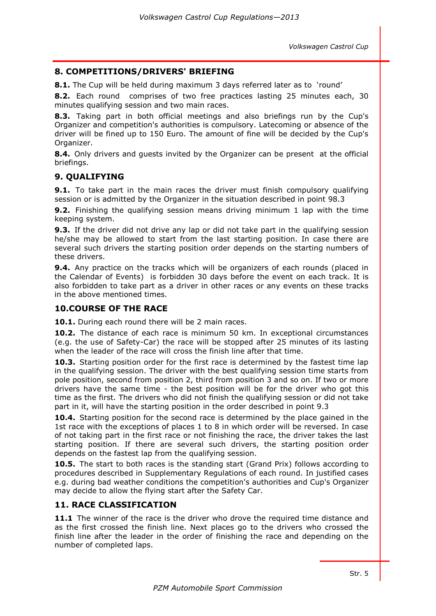### **8. COMPETITIONS/DRIVERS' BRIEFING**

**8.1.** The Cup will be held during maximum 3 days referred later as to 'round'

**8.2.** Each round comprises of two free practices lasting 25 minutes each, 30 minutes qualifying session and two main races.

**8.3.** Taking part in both official meetings and also briefings run by the Cup's Organizer and competition's authorities is compulsory. Latecoming or absence of the driver will be fined up to 150 Euro. The amount of fine will be decided by the Cup's Organizer.

**8.4.** Only drivers and quests invited by the Organizer can be present at the official briefings.

# **9. QUALIFYING**

**9.1.** To take part in the main races the driver must finish compulsory qualifying session or is admitted by the Organizer in the situation described in point 98.3

**9.2.** Finishing the qualifying session means driving minimum 1 lap with the time keeping system.

**9.3.** If the driver did not drive any lap or did not take part in the qualifying session he/she may be allowed to start from the last starting position. In case there are several such drivers the starting position order depends on the starting numbers of these drivers.

**9.4.** Any practice on the tracks which will be organizers of each rounds (placed in the Calendar of Events) is forbidden 30 days before the event on each track. It is also forbidden to take part as a driver in other races or any events on these tracks in the above mentioned times.

# **10.COURSE OF THE RACE**

**10.1.** During each round there will be 2 main races.

**10.2.** The distance of each race is minimum 50 km. In exceptional circumstances (e.g. the use of Safety-Car) the race will be stopped after 25 minutes of its lasting when the leader of the race will cross the finish line after that time.

**10.3.** Starting position order for the first race is determined by the fastest time lap in the qualifying session. The driver with the best qualifying session time starts from pole position, second from position 2, third from position 3 and so on. If two or more drivers have the same time - the best position will be for the driver who got this time as the first. The drivers who did not finish the qualifying session or did not take part in it, will have the starting position in the order described in point 9.3

**10.4.** Starting position for the second race is determined by the place gained in the 1st race with the exceptions of places 1 to 8 in which order will be reversed. In case of not taking part in the first race or not finishing the race, the driver takes the last starting position. If there are several such drivers, the starting position order depends on the fastest lap from the qualifying session.

**10.5.** The start to both races is the standing start (Grand Prix) follows according to procedures described in Supplementary Regulations of each round. In justified cases e.g. during bad weather conditions the competition's authorities and Cup's Organizer may decide to allow the flying start after the Safety Car.

#### **11. RACE CLASSIFICATION**

**11.1** The winner of the race is the driver who drove the required time distance and as the first crossed the finish line. Next places go to the drivers who crossed the finish line after the leader in the order of finishing the race and depending on the number of completed laps.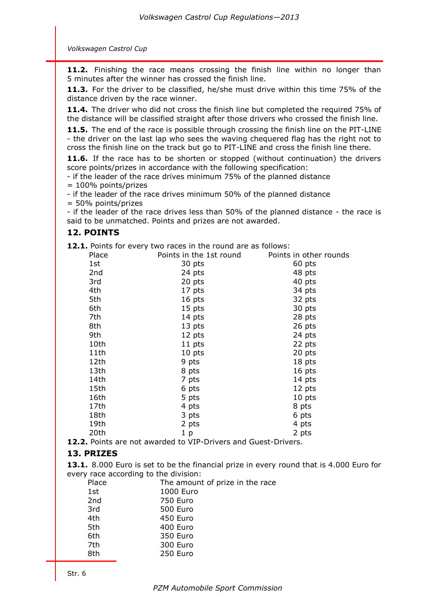*Volkswagen Castrol Cup*

**11.2.** Finishing the race means crossing the finish line within no longer than 5 minutes after the winner has crossed the finish line.

**11.3.** For the driver to be classified, he/she must drive within this time 75% of the distance driven by the race winner.

**11.4.** The driver who did not cross the finish line but completed the required 75% of the distance will be classified straight after those drivers who crossed the finish line.

**11.5.** The end of the race is possible through crossing the finish line on the PIT-LINE - the driver on the last lap who sees the waving chequered flag has the right not to cross the finish line on the track but go to PIT-LINE and cross the finish line there.

**11.6.** If the race has to be shorten or stopped (without continuation) the drivers score points/prizes in accordance with the following specification:

- if the leader of the race drives minimum 75% of the planned distance

= 100% points/prizes

- if the leader of the race drives minimum 50% of the planned distance

= 50% points/prizes

- if the leader of the race drives less than 50% of the planned distance - the race is said to be unmatched. Points and prizes are not awarded.

# **12. POINTS**

**12.1.** Points for every two races in the round are as follows:

| Place           | Points in the 1st round | Points in other rounds |
|-----------------|-------------------------|------------------------|
| 1st             | 30 pts                  | 60 pts                 |
| 2 <sub>nd</sub> | 24 pts                  | 48 pts                 |
| 3rd             | 20 pts                  | 40 pts                 |
| 4th             | 17 pts                  | 34 pts                 |
| 5th             | 16 pts                  | 32 pts                 |
| 6th             | 15 pts                  | 30 pts                 |
| 7th             | 14 pts                  | 28 pts                 |
| 8th             | 13 pts                  | 26 pts                 |
| 9th             | 12 pts                  | 24 pts                 |
| 10th            | 11 pts                  | 22 pts                 |
| 11th            | 10 pts                  | 20 pts                 |
| 12th            | 9 pts                   | 18 pts                 |
| 13th            | 8 pts                   | 16 pts                 |
| 14th            | 7 pts                   | 14 pts                 |
| 15th            | 6 pts                   | 12 pts                 |
| 16th            | 5 pts                   | 10 pts                 |
| 17th            | 4 pts                   | 8 pts                  |
| 18th            | 3 pts                   | 6 pts                  |
| 19th            | 2 pts                   | 4 pts                  |
| 20th            | 1 <sub>p</sub>          | 2 pts                  |
|                 |                         |                        |

**12.2.** Points are not awarded to VIP-Drivers and Guest-Drivers.

#### **13. PRIZES**

**13.1.** 8.000 Euro is set to be the financial prize in every round that is 4.000 Euro for every race according to the division:

| Place | The amount of prize in the race |
|-------|---------------------------------|
| 1st   | 1000 Euro                       |
| 2nd   | 750 Euro                        |
| 3rd   | 500 Euro                        |
| 4th   | 450 Euro                        |
| 5th   | 400 Euro                        |
| 6th   | 350 Euro                        |
| 7th   | 300 Euro                        |
| 8th   | 250 Euro                        |
|       |                                 |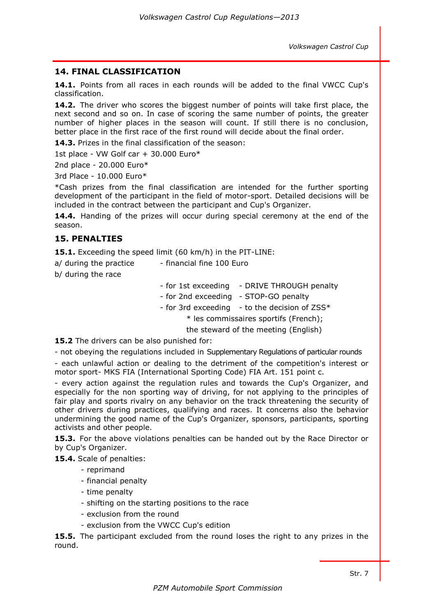penalty

# **14. FINAL CLASSIFICATION**

**14.1.** Points from all races in each rounds will be added to the final VWCC Cup's classification.

**14.2.** The driver who scores the biggest number of points will take first place, the next second and so on. In case of scoring the same number of points, the greater number of higher places in the season will count. If still there is no conclusion, better place in the first race of the first round will decide about the final order.

**14.3.** Prizes in the final classification of the season:

1st place - VW Golf car + 30.000 Euro\*

2nd place - 20.000 Euro\*

3rd Place - 10.000 Euro\*

\*Cash prizes from the final classification are intended for the further sporting development of the participant in the field of motor-sport. Detailed decisions will be included in the contract between the participant and Cup's Organizer.

**14.4.** Handing of the prizes will occur during special ceremony at the end of the season.

#### **15. PENALTIES**

**15.1.** Exceeding the speed limit (60 km/h) in the PIT-LINE:

| a/ during the practice | - financial fine 100 Euro                                                     |                                               |  |
|------------------------|-------------------------------------------------------------------------------|-----------------------------------------------|--|
| b/ during the race     |                                                                               |                                               |  |
|                        |                                                                               | - for 1st exceeding - DRIVE THROUGH penal     |  |
|                        | - for 2nd exceeding - STOP-GO penalty                                         |                                               |  |
|                        |                                                                               | - for 3rd exceeding - to the decision of ZSS* |  |
|                        | * les commissaires sportifs (French);<br>the steward of the meeting (English) |                                               |  |
|                        |                                                                               |                                               |  |

**15.2** The drivers can be also punished for:

- not obeying the regulations included in Supplementary Regulations of particular rounds

- each unlawful action or dealing to the detriment of the competition's interest or motor sport- MKS FIA (International Sporting Code) FIA Art. 151 point c.

- every action against the regulation rules and towards the Cup's Organizer, and especially for the non sporting way of driving, for not applying to the principles of fair play and sports rivalry on any behavior on the track threatening the security of other drivers during practices, qualifying and races. It concerns also the behavior undermining the good name of the Cup's Organizer, sponsors, participants, sporting activists and other people.

**15.3.** For the above violations penalties can be handed out by the Race Director or by Cup's Organizer.

**15.4.** Scale of penalties:

- reprimand
- financial penalty
- time penalty
- shifting on the starting positions to the race
- exclusion from the round
- exclusion from the VWCC Cup's edition

**15.5.** The participant excluded from the round loses the right to any prizes in the round.